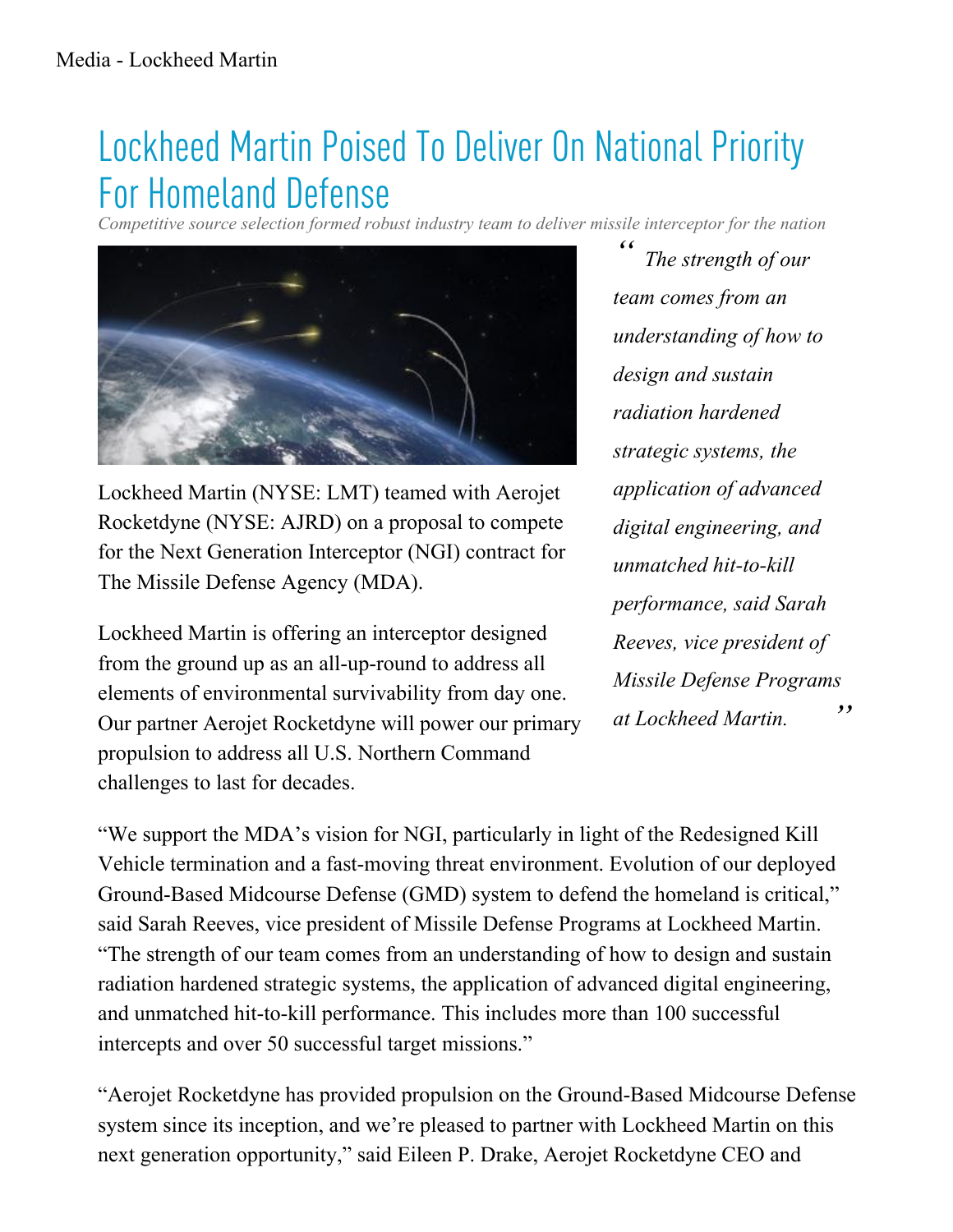## Lockheed Martin Poised To Deliver On National Priority For Homeland Defense

*Competitive source selection formed robust industry team to deliver missile interceptor for the nation*



Lockheed Martin (NYSE: LMT) teamed with Aerojet Rocketdyne (NYSE: AJRD) on a proposal to compete for the Next Generation Interceptor (NGI) contract for The Missile Defense Agency (MDA).

Lockheed Martin is offering an interceptor designed from the ground up as an all-up-round to address all elements of environmental survivability from day one. Our partner Aerojet Rocketdyne will power our primary propulsion to address all U.S. Northern Command challenges to last for decades.

*" " The strength of our team comes from an understanding of how to design and sustain radiation hardened strategic systems, the application of advanced digital engineering, and unmatched hit-to-kill performance, said Sarah Reeves, vice president of Missile Defense Programs at Lockheed Martin.*

"We support the MDA's vision for NGI, particularly in light of the Redesigned Kill Vehicle termination and a fast-moving threat environment. Evolution of our deployed Ground-Based Midcourse Defense (GMD) system to defend the homeland is critical," said Sarah Reeves, vice president of Missile Defense Programs at Lockheed Martin. "The strength of our team comes from an understanding of how to design and sustain radiation hardened strategic systems, the application of advanced digital engineering, and unmatched hit-to-kill performance. This includes more than 100 successful intercepts and over 50 successful target missions."

"Aerojet Rocketdyne has provided propulsion on the Ground-Based Midcourse Defense system since its inception, and we're pleased to partner with Lockheed Martin on this next generation opportunity," said Eileen P. Drake, Aerojet Rocketdyne CEO and